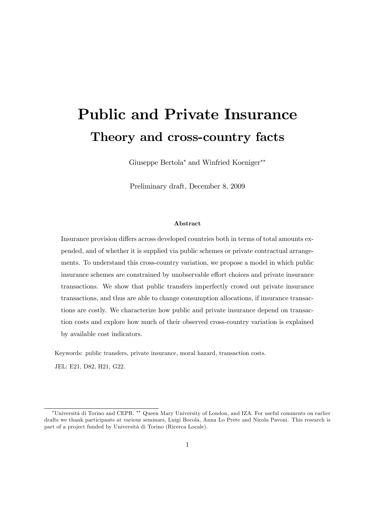# Public and Private Insurance Theory and cross-country facts

Giuseppe Bertola\* and Winfried Koeniger\*\*

Preliminary draft, December 8, 2009

#### Abstract

Insurance provision differs across developed countries both in terms of total amounts expended, and of whether it is supplied via public schemes or private contractual arrangements. To understand this cross-country variation, we propose a model in which public insurance schemes are constrained by unobservable effort choices and private insurance transactions. We show that public transfers imperfectly crowd out private insurance transactions, and thus are able to change consumption allocations, if insurance transactions are costly. We characterize how public and private insurance depend on transaction costs and explore how much of their observed cross-country variation is explained by available cost indicators.

Keywords: public transfers, private insurance, moral hazard, transaction costs.

JEL: E21, D82, H21, G22.

<sup>\*</sup>Università di Torino and CEPR. \*\* Queen Mary University of London, and IZA. For useful comments on earlier drafts we thank participants at various seminars, Luigi Bocola, Anna Lo Prete and Nicola Pavoni. This research is part of a project funded by Università di Torino (Ricerca Locale).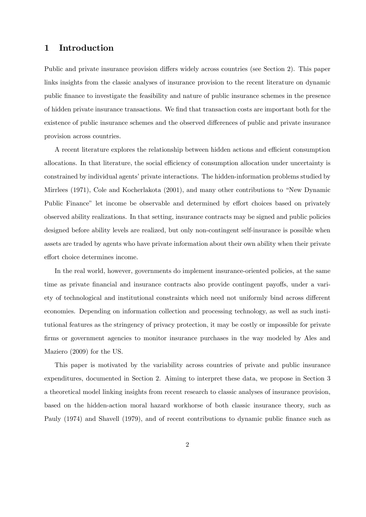## 1 Introduction

Public and private insurance provision differs widely across countries (see Section 2). This paper links insights from the classic analyses of insurance provision to the recent literature on dynamic public Önance to investigate the feasibility and nature of public insurance schemes in the presence of hidden private insurance transactions. We Önd that transaction costs are important both for the existence of public insurance schemes and the observed differences of public and private insurance provision across countries.

A recent literature explores the relationship between hidden actions and efficient consumption allocations. In that literature, the social efficiency of consumption allocation under uncertainty is constrained by individual agents' private interactions. The hidden-information problems studied by Mirrlees  $(1971)$ , Cole and Kocherlakota  $(2001)$ , and many other contributions to "New Dynamic Public Finance" let income be observable and determined by effort choices based on privately observed ability realizations. In that setting, insurance contracts may be signed and public policies designed before ability levels are realized, but only non-contingent self-insurance is possible when assets are traded by agents who have private information about their own ability when their private effort choice determines income.

In the real world, however, governments do implement insurance-oriented policies, at the same time as private financial and insurance contracts also provide contingent payoffs, under a variety of technological and institutional constraints which need not uniformly bind across different economies. Depending on information collection and processing technology, as well as such institutional features as the stringency of privacy protection, it may be costly or impossible for private firms or government agencies to monitor insurance purchases in the way modeled by Ales and Maziero (2009) for the US.

This paper is motivated by the variability across countries of private and public insurance expenditures, documented in Section 2. Aiming to interpret these data, we propose in Section 3 a theoretical model linking insights from recent research to classic analyses of insurance provision, based on the hidden-action moral hazard workhorse of both classic insurance theory, such as Pauly (1974) and Shavell (1979), and of recent contributions to dynamic public finance such as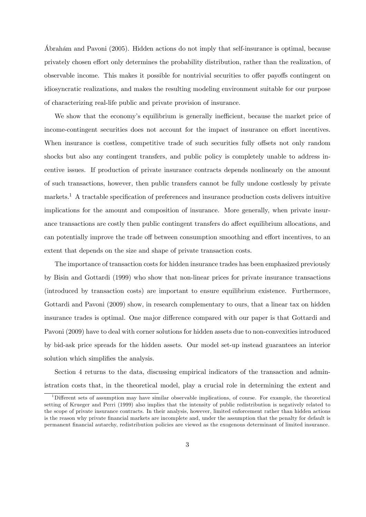Abrahám and Pavoni (2005). Hidden actions do not imply that self-insurance is optimal, because privately chosen effort only determines the probability distribution, rather than the realization, of observable income. This makes it possible for nontrivial securities to offer payoffs contingent on idiosyncratic realizations, and makes the resulting modeling environment suitable for our purpose of characterizing real-life public and private provision of insurance.

We show that the economy's equilibrium is generally inefficient, because the market price of income-contingent securities does not account for the impact of insurance on effort incentives. When insurance is costless, competitive trade of such securities fully offsets not only random shocks but also any contingent transfers, and public policy is completely unable to address incentive issues. If production of private insurance contracts depends nonlinearly on the amount of such transactions, however, then public transfers cannot be fully undone costlessly by private markets.<sup>1</sup> A tractable specification of preferences and insurance production costs delivers intuitive implications for the amount and composition of insurance. More generally, when private insurance transactions are costly then public contingent transfers do affect equilibrium allocations, and can potentially improve the trade off between consumption smoothing and effort incentives, to an extent that depends on the size and shape of private transaction costs.

The importance of transaction costs for hidden insurance trades has been emphasized previously by Bisin and Gottardi (1999) who show that non-linear prices for private insurance transactions (introduced by transaction costs) are important to ensure equilibrium existence. Furthermore, Gottardi and Pavoni (2009) show, in research complementary to ours, that a linear tax on hidden insurance trades is optimal. One major difference compared with our paper is that Gottardi and Pavoni (2009) have to deal with corner solutions for hidden assets due to non-convexities introduced by bid-ask price spreads for the hidden assets. Our model set-up instead guarantees an interior solution which simplifies the analysis.

Section 4 returns to the data, discussing empirical indicators of the transaction and administration costs that, in the theoretical model, play a crucial role in determining the extent and

<sup>&</sup>lt;sup>1</sup>Different sets of assumption may have similar observable implications, of course. For example, the theoretical setting of Krueger and Perri (1999) also implies that the intensity of public redistribution is negatively related to the scope of private insurance contracts. In their analysis, however, limited enforcement rather than hidden actions is the reason why private Önancial markets are incomplete and, under the assumption that the penalty for default is permanent Önancial autarchy, redistribution policies are viewed as the exogenous determinant of limited insurance.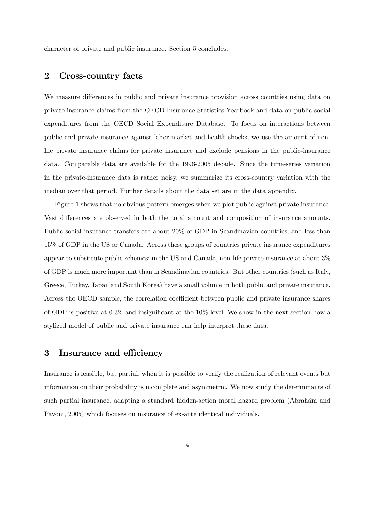character of private and public insurance. Section 5 concludes.

## 2 Cross-country facts

We measure differences in public and private insurance provision across countries using data on private insurance claims from the OECD Insurance Statistics Yearbook and data on public social expenditures from the OECD Social Expenditure Database. To focus on interactions between public and private insurance against labor market and health shocks, we use the amount of nonlife private insurance claims for private insurance and exclude pensions in the public-insurance data. Comparable data are available for the 1996-2005 decade. Since the time-series variation in the private-insurance data is rather noisy, we summarize its cross-country variation with the median over that period. Further details about the data set are in the data appendix.

Figure 1 shows that no obvious pattern emerges when we plot public against private insurance. Vast differences are observed in both the total amount and composition of insurance amounts. Public social insurance transfers are about 20% of GDP in Scandinavian countries, and less than 15% of GDP in the US or Canada. Across these groups of countries private insurance expenditures appear to substitute public schemes: in the US and Canada, non-life private insurance at about 3% of GDP is much more important than in Scandinavian countries. But other countries (such as Italy, Greece, Turkey, Japan and South Korea) have a small volume in both public and private insurance. Across the OECD sample, the correlation coefficient between public and private insurance shares of GDP is positive at 0.32, and insignificant at the  $10\%$  level. We show in the next section how a stylized model of public and private insurance can help interpret these data.

## 3 Insurance and efficiency

Insurance is feasible, but partial, when it is possible to verify the realization of relevant events but information on their probability is incomplete and asymmetric. We now study the determinants of such partial insurance, adapting a standard hidden-action moral hazard problem (Abrahám and Pavoni, 2005) which focuses on insurance of ex-ante identical individuals.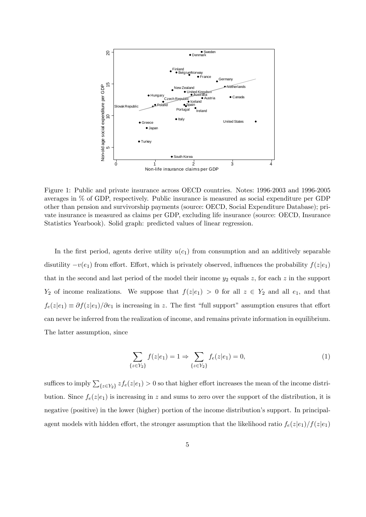

Figure 1: Public and private insurance across OECD countries. Notes: 1996-2003 and 1996-2005 averages in % of GDP, respectively. Public insurance is measured as social expenditure per GDP other than pension and survivorship payments (source: OECD, Social Expenditure Database); private insurance is measured as claims per GDP, excluding life insurance (source: OECD, Insurance Statistics Yearbook). Solid graph: predicted values of linear regression.

In the first period, agents derive utility  $u(c_1)$  from consumption and an additively separable disutility  $-v(e_1)$  from effort. Effort, which is privately observed, influences the probability  $f(z|e_1)$ that in the second and last period of the model their income  $y_2$  equals z, for each z in the support  $Y_2$  of income realizations. We suppose that  $f(z|e_1) > 0$  for all  $z \in Y_2$  and all  $e_1$ , and that  $f_e(z|e_1) \equiv \partial f(z|e_1)/\partial e_1$  is increasing in z. The first "full support" assumption ensures that effort can never be inferred from the realization of income, and remains private information in equilibrium. The latter assumption, since

$$
\sum_{z \in Y_2} f(z|e_1) = 1 \Rightarrow \sum_{\{z \in Y_2\}} f_e(z|e_1) = 0,\tag{1}
$$

suffices to imply  $\sum_{\{z \in Y_2\}} z f_e(z|e_1) > 0$  so that higher effort increases the mean of the income distribution. Since  $f_e(z|e_1)$  is increasing in z and sums to zero over the support of the distribution, it is negative (positive) in the lower (higher) portion of the income distribution's support. In principalagent models with hidden effort, the stronger assumption that the likelihood ratio  $f_e(z|e_1)/f(z|e_1)$ 

 $\{$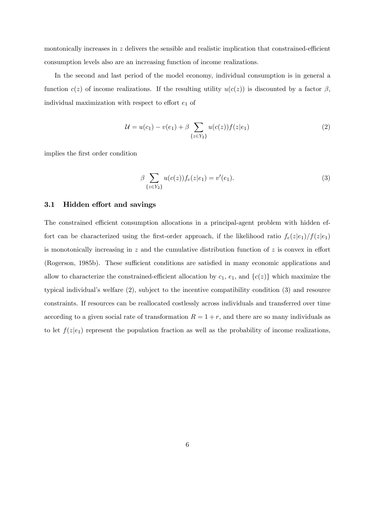montonically increases in  $z$  delivers the sensible and realistic implication that constrained-efficient consumption levels also are an increasing function of income realizations.

In the second and last period of the model economy, individual consumption is in general a function  $c(z)$  of income realizations. If the resulting utility  $u(c(z))$  is discounted by a factor  $\beta$ , individual maximization with respect to effort  $e_1$  of

$$
\mathcal{U} = u(c_1) - v(e_1) + \beta \sum_{\{z \in Y_2\}} u(c(z))f(z|e_1)
$$
 (2)

implies the Örst order condition

$$
\beta \sum_{\{z \in Y_2\}} u(c(z)) f_e(z|e_1) = v'(e_1). \tag{3}
$$

### 3.1 Hidden effort and savings

The constrained efficient consumption allocations in a principal-agent problem with hidden effort can be characterized using the first-order approach, if the likelihood ratio  $f_e(z|e_1)/f(z|e_1)$ is monotonically increasing in z and the cumulative distribution function of z is convex in effort (Rogerson, 1985b). These sufficient conditions are satisfied in many economic applications and allow to characterize the constrained-efficient allocation by  $c_1$ ,  $e_1$ , and  $\{c(z)\}\$  which maximize the typical individual's welfare  $(2)$ , subject to the incentive compatibility condition  $(3)$  and resource constraints. If resources can be reallocated costlessly across individuals and transferred over time according to a given social rate of transformation  $R = 1 + r$ , and there are so many individuals as to let  $f(z|e_1)$  represent the population fraction as well as the probability of income realizations,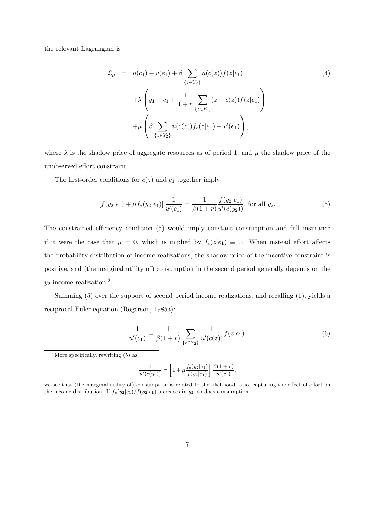the relevant Lagrangian is

$$
\mathcal{L}_p = u(c_1) - v(e_1) + \beta \sum_{\{z \in Y_2\}} u(c(z))f(z|e_1) \n+ \lambda \left(y_1 - c_1 + \frac{1}{1+r} \sum_{\{z \in Y_2\}} (z - c(z))f(z|e_1) \right) \n+ \mu \left(\beta \sum_{\{z \in Y_2\}} u(c(z))f_e(z|e_1) - v'(e_1) \right),
$$
\n(4)

where  $\lambda$  is the shadow price of aggregate resources as of period 1, and  $\mu$  the shadow price of the unobserved effort constraint.

The first-order conditions for  $c(z)$  and  $c_1$  together imply

$$
[f(y_2|e_1) + \mu f_e(y_2|e_1)] \frac{1}{u'(c_1)} = \frac{1}{\beta(1+r)} \frac{f(y_2|e_1)}{u'(c(y_2))}, \text{ for all } y_2.
$$
 (5)

The constrained efficiency condition (5) would imply constant consumption and full insurance if it were the case that  $\mu = 0$ , which is implied by  $f_e(z|e_1) \equiv 0$ . When instead effort affects the probability distribution of income realizations, the shadow price of the incentive constraint is positive, and (the marginal utility of) consumption in the second period generally depends on the  $y_2$  income realization.<sup>2</sup>

Summing (5) over the support of second period income realizations, and recalling (1), yields a reciprocal Euler equation (Rogerson, 1985a):

$$
\frac{1}{u'(c_1)} = \frac{1}{\beta(1+r)} \sum_{\{z \in Y_2\}} \frac{1}{u'(c(z))} f(z|e_1).
$$
 (6)

<sup>2</sup>More specifically, rewriting  $(5)$  as

$$
\frac{1}{u'(c(y_2))} = \left[1 + \mu \frac{f_e(y_2|e_1)}{f(y_2|e_1)}\right] \frac{\beta(1+r)}{u'(c_1)},
$$

we see that (the marginal utility of) consumption is related to the likelihood ratio, capturing the effect of effort on the income distribution. If  $f_e(y_2|e_1)/f(y_2|e_1)$  increases in  $y_2$ , so does consumption.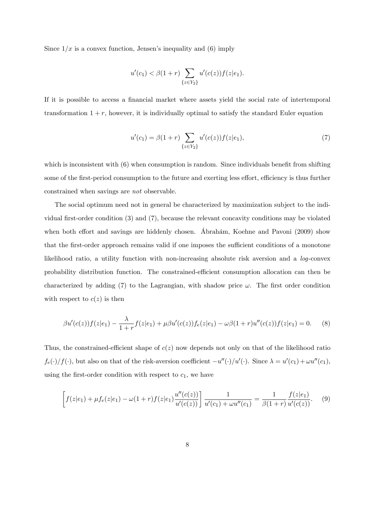Since  $1/x$  is a convex function, Jensen's inequality and (6) imply

$$
u'(c_1) < \beta(1+r) \sum_{\{z \in Y_2\}} u'(c(z))f(z|e_1).
$$

If it is possible to access a financial market where assets yield the social rate of intertemporal transformation  $1 + r$ , however, it is individually optimal to satisfy the standard Euler equation

$$
u'(c_1) = \beta(1+r) \sum_{\{z \in Y_2\}} u'(c(z))f(z|e_1),\tag{7}
$$

which is inconsistent with  $(6)$  when consumption is random. Since individuals benefit from shifting some of the first-period consumption to the future and exerting less effort, efficiency is thus further constrained when savings are not observable.

The social optimum need not in general be characterized by maximization subject to the individual first-order condition  $(3)$  and  $(7)$ , because the relevant concavity conditions may be violated when both effort and savings are hiddenly chosen. Ábrahám, Koehne and Pavoni (2009) show that the first-order approach remains valid if one imposes the sufficient conditions of a monotone likelihood ratio, a utility function with non-increasing absolute risk aversion and a log-convex probability distribution function. The constrained-efficient consumption allocation can then be characterized by adding (7) to the Lagrangian, with shadow price  $\omega$ . The first order condition with respect to  $c(z)$  is then

$$
\beta u'(c(z))f(z|e_1) - \frac{\lambda}{1+r}f(z|e_1) + \mu \beta u'(c(z))f_e(z|e_1) - \omega \beta (1+r)u''(c(z))f(z|e_1) = 0. \tag{8}
$$

Thus, the constrained-efficient shape of  $c(z)$  now depends not only on that of the likelihood ratio  $f_e(\cdot)/f(\cdot)$ , but also on that of the risk-aversion coefficient  $-u''(\cdot)/u'(\cdot)$ . Since  $\lambda = u'(c_1) + \omega u''(c_1)$ , using the first-order condition with respect to  $c_1$ , we have

$$
\[f(z|e_1) + \mu f_e(z|e_1) - \omega(1+r)f(z|e_1)\frac{u''(c(z))}{u'(c(z))}\] \frac{1}{u'(c_1) + \omega u''(c_1)} = \frac{1}{\beta(1+r)}\frac{f(z|e_1)}{u'(c(z))}. \tag{9}
$$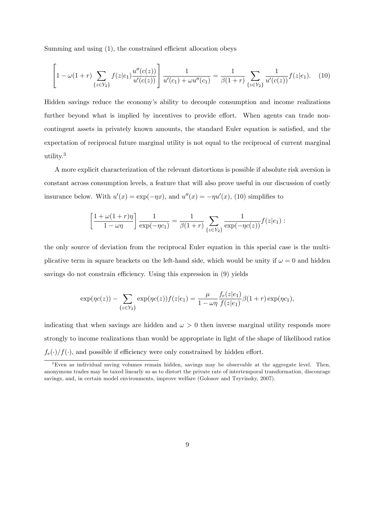Summing and using  $(1)$ , the constrained efficient allocation obeys

$$
\left[1 - \omega(1+r)\sum_{\{z \in Y_2\}} f(z|e_1) \frac{u''(c(z))}{u'(c(z))}\right] \frac{1}{u'(c_1) + \omega u''(c_1)} = \frac{1}{\beta(1+r)} \sum_{\{z \in Y_2\}} \frac{1}{u'(c(z))} f(z|e_1). \tag{10}
$$

Hidden savings reduce the economyís ability to decouple consumption and income realizations further beyond what is implied by incentives to provide effort. When agents can trade noncontingent assets in privately known amounts, the standard Euler equation is satisfied, and the expectation of reciprocal future marginal utility is not equal to the reciprocal of current marginal utility.<sup>3</sup>

A more explicit characterization of the relevant distortions is possible if absolute risk aversion is constant across consumption levels, a feature that will also prove useful in our discussion of costly insurance below. With  $u'(x) = \exp(-\eta x)$ , and  $u''(x) = -\eta u'(x)$ , (10) simplifies to

$$
\left[\frac{1+\omega(1+r)\eta}{1-\omega\eta}\right]\frac{1}{\exp(-\eta c_1)}=\frac{1}{\beta(1+r)}\sum_{\{z\in Y_2\}}\frac{1}{\exp(-\eta c(z))}f(z|e_1):
$$

the only source of deviation from the reciprocal Euler equation in this special case is the multiplicative term in square brackets on the left-hand side, which would be unity if  $\omega = 0$  and hidden savings do not constrain efficiency. Using this expression in  $(9)$  yields

$$
\exp(\eta c(z)) - \sum_{\{z \in Y_2\}} \exp(\eta c(z)) f(z|e_1) = \frac{\mu}{1 - \omega \eta} \frac{f_e(z|e_1)}{f(z|e_1)} \beta(1+r) \exp(\eta c_1),
$$

indicating that when savings are hidden and  $\omega > 0$  then inverse marginal utility responds more strongly to income realizations than would be appropriate in light of the shape of likelihood ratios  $f_e(\cdot)/f(\cdot)$ , and possible if efficiency were only constrained by hidden effort.

<sup>&</sup>lt;sup>3</sup>Even as individual saving volumes remain hidden, savings may be observable at the aggregate level. Then, anonymous trades may be taxed linearly so as to distort the private rate of intertemporal transformation, discourage savings, and, in certain model environments, improve welfare (Golosov and Tsyvinsky, 2007).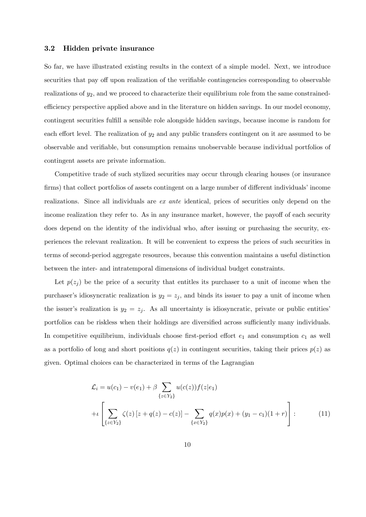#### 3.2 Hidden private insurance

So far, we have illustrated existing results in the context of a simple model. Next, we introduce securities that pay off upon realization of the verifiable contingencies corresponding to observable realizations of  $y_2$ , and we proceed to characterize their equilibrium role from the same constrainedefficiency perspective applied above and in the literature on hidden savings. In our model economy, contingent securities fulfill a sensible role alongside hidden savings, because income is random for each effort level. The realization of  $y_2$  and any public transfers contingent on it are assumed to be observable and verifiable, but consumption remains unobservable because individual portfolios of contingent assets are private information.

Competitive trade of such stylized securities may occur through clearing houses (or insurance firms) that collect portfolios of assets contingent on a large number of different individuals' income realizations. Since all individuals are ex ante identical, prices of securities only depend on the income realization they refer to. As in any insurance market, however, the payoff of each security does depend on the identity of the individual who, after issuing or purchasing the security, experiences the relevant realization. It will be convenient to express the prices of such securities in terms of second-period aggregate resources, because this convention maintains a useful distinction between the inter- and intratemporal dimensions of individual budget constraints.

Let  $p(z_i)$  be the price of a security that entitles its purchaser to a unit of income when the purchaser's idiosyncratic realization is  $y_2 = z_j$ , and binds its issuer to pay a unit of income when the issuer's realization is  $y_2 = z_j$ . As all uncertainty is idiosyncratic, private or public entities' portfolios can be riskless when their holdings are diversified across sufficiently many individuals. In competitive equilibrium, individuals choose first-period effort  $e_1$  and consumption  $c_1$  as well as a portfolio of long and short positions  $q(z)$  in contingent securities, taking their prices  $p(z)$  as given. Optimal choices can be characterized in terms of the Lagrangian

$$
\mathcal{L}_i = u(c_1) - v(e_1) + \beta \sum_{\{z \in Y_2\}} u(c(z))f(z|e_1)
$$
  
+
$$
\iint_{\{z \in Y_2\}} \zeta(z) [z + q(z) - c(z)] - \sum_{\{x \in Y_2\}} q(x)p(x) + (y_1 - c_1)(1+r) \bigg] :
$$
(11)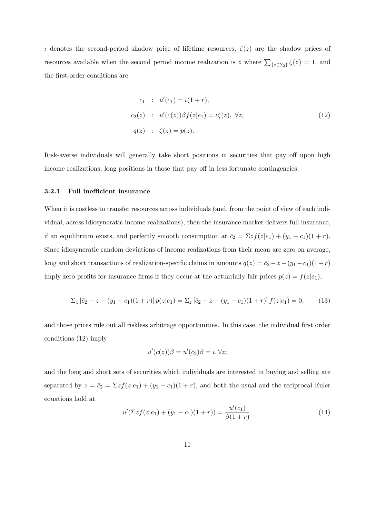$\iota$  denotes the second-period shadow price of lifetime resources,  $\zeta(z)$  are the shadow prices of resources available when the second period income realization is z where  $\sum_{\{z \in Y_2\}} \zeta(z) = 1$ , and the first-order conditions are

$$
c_1 : u'(c_1) = \iota(1+r),
$$
  
\n
$$
c_2(z) : u'(c(z))\beta f(z|e_1) = \iota\zeta(z), \forall z,
$$
  
\n
$$
q(z) : \zeta(z) = p(z).
$$
\n(12)

Risk-averse individuals will generally take short positions in securities that pay off upon high income realizations, long positions in those that pay off in less fortunate contingencies.

#### 3.2.1 Full inefficient insurance

When it is costless to transfer resources across individuals (and, from the point of view of each individual, across idiosyncratic income realizations), then the insurance market delivers full insurance, if an equilibrium exists, and perfectly smooth consumption at  $\bar{c}_2 = \sum z f(z|e_1) + (y_1 - c_1)(1 + r)$ . Since idiosyncratic random deviations of income realizations from their mean are zero on average, long and short transactions of realization-specific claims in amounts  $q(z) = \bar{c}_2 - z - (y_1 - c_1)(1 + r)$ imply zero profits for insurance firms if they occur at the actuarially fair prices  $p(z) = f(z|e_1)$ ,

$$
\Sigma_z \left[ \bar{c}_2 - z - (y_1 - c_1)(1+r) \right] p(z|e_1) = \Sigma_z \left[ \bar{c}_2 - z - (y_1 - c_1)(1+r) \right] f(z|e_1) = 0, \tag{13}
$$

and those prices rule out all riskless arbitrage opportunities. In this case, the individual first order conditions (12) imply

$$
u'(c(z))\beta=u'(\bar{c}_2)\beta=\iota,\forall z;
$$

and the long and short sets of securities which individuals are interested in buying and selling are separated by  $z = \bar{c}_2 = \sum z f(z|e_1) + (y_1 - c_1)(1 + r)$ , and both the usual and the reciprocal Euler equations hold at

$$
u'(\Sigma z f(z|e_1) + (y_1 - c_1)(1+r)) = \frac{u'(c_1)}{\beta(1+r)}.
$$
\n(14)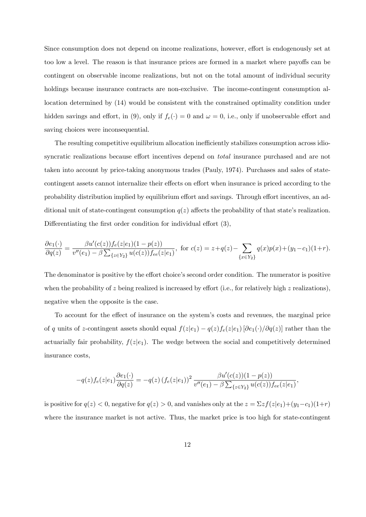Since consumption does not depend on income realizations, however, effort is endogenously set at too low a level. The reason is that insurance prices are formed in a market where payoffs can be contingent on observable income realizations, but not on the total amount of individual security holdings because insurance contracts are non-exclusive. The income-contingent consumption allocation determined by (14) would be consistent with the constrained optimality condition under hidden savings and effort, in (9), only if  $f_e(\cdot) = 0$  and  $\omega = 0$ , i.e., only if unobservable effort and saving choices were inconsequential.

The resulting competitive equilibrium allocation inefficiently stabilizes consumption across idiosyncratic realizations because effort incentives depend on *total* insurance purchased and are not taken into account by price-taking anonymous trades (Pauly, 1974). Purchases and sales of statecontingent assets cannot internalize their effects on effort when insurance is priced according to the probability distribution implied by equilibrium effort and savings. Through effort incentives, an additional unit of state-contingent consumption  $q(z)$  affects the probability of that state's realization. Differentiating the first order condition for individual effort  $(3)$ ,

$$
\frac{\partial e_1(\cdot)}{\partial q(z)} = \frac{\beta u'(c(z)) f_e(z|e_1)(1 - p(z))}{v''(e_1) - \beta \sum_{\{z \in Y_2\}} u(c(z)) f_{ee}(z|e_1)}, \text{ for } c(z) = z + q(z) - \sum_{\{x \in Y_2\}} q(x) p(x) + (y_1 - c_1)(1+r).
$$

The denominator is positive by the effort choice's second order condition. The numerator is positive when the probability of z being realized is increased by effort (i.e., for relatively high z realizations), negative when the opposite is the case.

To account for the effect of insurance on the system's costs and revenues, the marginal price of q units of z-contingent assets should equal  $f(z|e_1) - q(z)f_e(z|e_1)[\partial e_1(\cdot)/\partial q(z)]$  rather than the actuarially fair probability,  $f(z|e_1)$ . The wedge between the social and competitively determined insurance costs,

$$
-q(z)f_e(z|e_1)\frac{\partial e_1(\cdot)}{\partial q(z)} = -q(z)\left(f_e(z|e_1)\right)^2 \frac{\beta u'(c(z))(1-p(z))}{v''(e_1)-\beta \sum_{\{z\in Y_2\}} u(c(z))f_{ee}(z|e_1)},
$$

is positive for  $q(z) < 0$ , negative for  $q(z) > 0$ , and vanishes only at the  $z = \sum z f(z|e_1) + (y_1 - c_1)(1+r)$ where the insurance market is not active. Thus, the market price is too high for state-contingent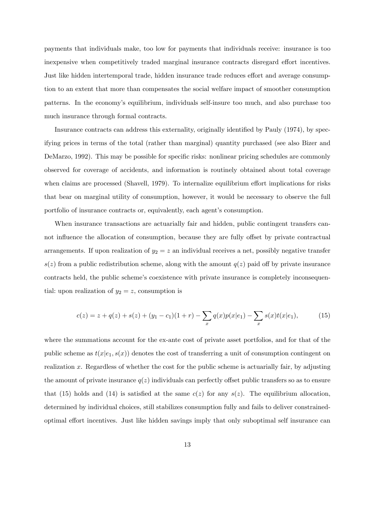payments that individuals make, too low for payments that individuals receive: insurance is too inexpensive when competitively traded marginal insurance contracts disregard effort incentives. Just like hidden intertemporal trade, hidden insurance trade reduces effort and average consumption to an extent that more than compensates the social welfare impact of smoother consumption patterns. In the economyís equilibrium, individuals self-insure too much, and also purchase too much insurance through formal contracts.

Insurance contracts can address this externality, originally identified by Pauly (1974), by specifying prices in terms of the total (rather than marginal) quantity purchased (see also Bizer and DeMarzo, 1992). This may be possible for specific risks: nonlinear pricing schedules are commonly observed for coverage of accidents, and information is routinely obtained about total coverage when claims are processed (Shavell, 1979). To internalize equilibrium effort implications for risks that bear on marginal utility of consumption, however, it would be necessary to observe the full portfolio of insurance contracts or, equivalently, each agent's consumption.

When insurance transactions are actuarially fair and hidden, public contingent transfers cannot influence the allocation of consumption, because they are fully offset by private contractual arrangements. If upon realization of  $y_2 = z$  an individual receives a net, possibly negative transfer  $s(z)$  from a public redistribution scheme, along with the amount  $q(z)$  paid off by private insurance contracts held, the public scheme's coexistence with private insurance is completely inconsequential: upon realization of  $y_2 = z$ , consumption is

$$
c(z) = z + q(z) + s(z) + (y_1 - c_1)(1+r) - \sum_{x} q(x)p(x|e_1) - \sum_{x} s(x)t(x|e_1), \tag{15}
$$

where the summations account for the ex-ante cost of private asset portfolios, and for that of the public scheme as  $t(x|e_1, s(x))$  denotes the cost of transferring a unit of consumption contingent on realization x. Regardless of whether the cost for the public scheme is actuarially fair, by adjusting the amount of private insurance  $q(z)$  individuals can perfectly offset public transfers so as to ensure that (15) holds and (14) is satisfied at the same  $c(z)$  for any  $s(z)$ . The equilibrium allocation, determined by individual choices, still stabilizes consumption fully and fails to deliver constrainedoptimal effort incentives. Just like hidden savings imply that only suboptimal self insurance can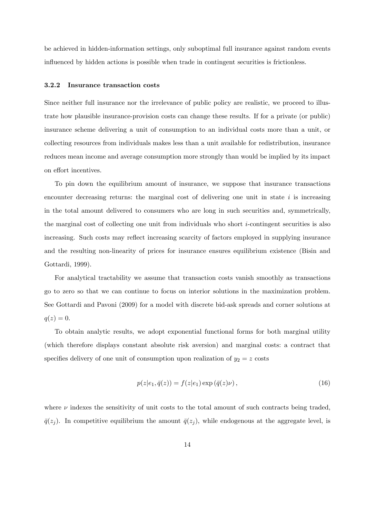be achieved in hidden-information settings, only suboptimal full insurance against random events influenced by hidden actions is possible when trade in contingent securities is frictionless.

#### 3.2.2 Insurance transaction costs

Since neither full insurance nor the irrelevance of public policy are realistic, we proceed to illustrate how plausible insurance-provision costs can change these results. If for a private (or public) insurance scheme delivering a unit of consumption to an individual costs more than a unit, or collecting resources from individuals makes less than a unit available for redistribution, insurance reduces mean income and average consumption more strongly than would be implied by its impact on effort incentives.

To pin down the equilibrium amount of insurance, we suppose that insurance transactions encounter decreasing returns: the marginal cost of delivering one unit in state  $i$  is increasing in the total amount delivered to consumers who are long in such securities and, symmetrically, the marginal cost of collecting one unit from individuals who short i-contingent securities is also increasing. Such costs may reflect increasing scarcity of factors employed in supplying insurance and the resulting non-linearity of prices for insurance ensures equilibrium existence (Bisin and Gottardi, 1999).

For analytical tractability we assume that transaction costs vanish smoothly as transactions go to zero so that we can continue to focus on interior solutions in the maximization problem. See Gottardi and Pavoni (2009) for a model with discrete bid-ask spreads and corner solutions at  $q(z) = 0.$ 

To obtain analytic results, we adopt exponential functional forms for both marginal utility (which therefore displays constant absolute risk aversion) and marginal costs: a contract that specifies delivery of one unit of consumption upon realization of  $y_2 = z$  costs

$$
p(z|e_1, \bar{q}(z)) = f(z|e_1) \exp(\bar{q}(z)\nu), \qquad (16)
$$

where  $\nu$  indexes the sensitivity of unit costs to the total amount of such contracts being traded,  $\bar{q}(z_j)$ . In competitive equilibrium the amount  $\bar{q}(z_j)$ , while endogenous at the aggregate level, is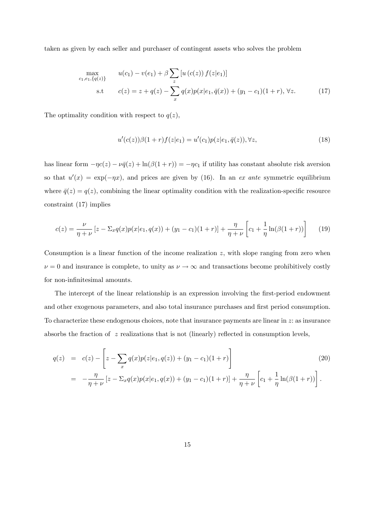taken as given by each seller and purchaser of contingent assets who solves the problem

$$
\max_{c_1, e_1, \{q(z)\}} \quad u(c_1) - v(e_1) + \beta \sum_z [u(c(z)) f(z|e_1)]
$$
\n
$$
\text{s.t} \quad c(z) = z + q(z) - \sum_x q(x) p(x|e_1, \bar{q}(x)) + (y_1 - c_1)(1+r), \forall z. \tag{17}
$$

The optimality condition with respect to  $q(z)$ ,

$$
u'(c(z))\beta(1+r)f(z|e_1) = u'(c_1)p(z|e_1,\bar{q}(z)), \forall z,
$$
\n(18)

has linear form  $-\eta c(z) - \nu \bar{q}(z) + \ln(\beta(1 + r)) = -\eta c_1$  if utility has constant absolute risk aversion so that  $u'(x) = \exp(-\eta x)$ , and prices are given by (16). In an ex ante symmetric equilibrium where  $\bar{q}(z) = q(z)$ , combining the linear optimality condition with the realization-specific resource constraint (17) implies

$$
c(z) = \frac{\nu}{\eta + \nu} \left[ z - \Sigma_x q(x) p(x|e_1, q(x)) + (y_1 - c_1)(1+r) \right] + \frac{\eta}{\eta + \nu} \left[ c_1 + \frac{1}{\eta} \ln(\beta(1+r)) \right] \tag{19}
$$

Consumption is a linear function of the income realization z, with slope ranging from zero when  $\nu = 0$  and insurance is complete, to unity as  $\nu \to \infty$  and transactions become prohibitively costly for non-infinitesimal amounts.

The intercept of the linear relationship is an expression involving the first-period endowment and other exogenous parameters, and also total insurance purchases and first period consumption. To characterize these endogenous choices, note that insurance payments are linear in  $z$ : as insurance absorbs the fraction of  $z$  realizations that is not (linearly) reflected in consumption levels,

$$
q(z) = c(z) - \left[z - \sum_{x} q(x)p(z|e_1, q(z)) + (y_1 - c_1)(1+r)\right]
$$
\n
$$
= -\frac{\eta}{\eta + \nu} \left[z - \sum_{x} q(x)p(x|e_1, q(x)) + (y_1 - c_1)(1+r)\right] + \frac{\eta}{\eta + \nu} \left[c_1 + \frac{1}{\eta}\ln(\beta(1+r))\right].
$$
\n(20)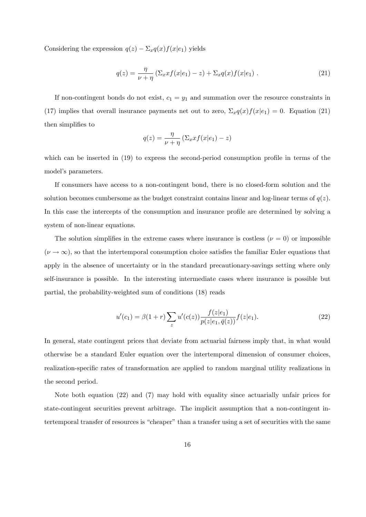Considering the expression  $q(z) - \Sigma_x q(x)f(x|e_1)$  yields

$$
q(z) = \frac{\eta}{\nu + \eta} \left( \Sigma_x x f(x|e_1) - z \right) + \Sigma_x q(x) f(x|e_1) \tag{21}
$$

If non-contingent bonds do not exist,  $c_1 = y_1$  and summation over the resource constraints in (17) implies that overall insurance payments net out to zero,  $\Sigma_x q(x) f(x|e_1) = 0$ . Equation (21) then simplifies to

$$
q(z) = \frac{\eta}{\nu + \eta} \left( \Sigma_x x f(x|e_1) - z \right)
$$

which can be inserted in  $(19)$  to express the second-period consumption profile in terms of the model's parameters.

If consumers have access to a non-contingent bond, there is no closed-form solution and the solution becomes cumbersome as the budget constraint contains linear and log-linear terms of  $q(z)$ . In this case the intercepts of the consumption and insurance profile are determined by solving a system of non-linear equations.

The solution simplifies in the extreme cases where insurance is costless ( $\nu = 0$ ) or impossible  $(\nu \to \infty)$ , so that the intertemporal consumption choice satisfies the familiar Euler equations that apply in the absence of uncertainty or in the standard precautionary-savings setting where only self-insurance is possible. In the interesting intermediate cases where insurance is possible but partial, the probability-weighted sum of conditions (18) reads

$$
u'(c_1) = \beta(1+r) \sum_{z} u'(c(z)) \frac{f(z|e_1)}{p(z|e_1, \bar{q}(z))} f(z|e_1).
$$
 (22)

In general, state contingent prices that deviate from actuarial fairness imply that, in what would otherwise be a standard Euler equation over the intertemporal dimension of consumer choices, realization-specific rates of transformation are applied to random marginal utility realizations in the second period.

Note both equation (22) and (7) may hold with equality since actuarially unfair prices for state-contingent securities prevent arbitrage. The implicit assumption that a non-contingent intertemporal transfer of resources is "cheaper" than a transfer using a set of securities with the same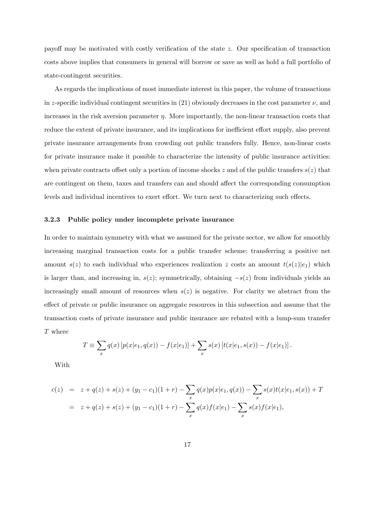payoff may be motivated with costly verification of the state  $z$ . Our specification of transaction costs above implies that consumers in general will borrow or save as well as hold a full portfolio of state-contingent securities.

As regards the implications of most immediate interest in this paper, the volume of transactions in z-specific individual contingent securities in (21) obviously decreases in the cost parameter  $\nu$ , and increases in the risk aversion parameter  $\eta$ . More importantly, the non-linear transaction costs that reduce the extent of private insurance, and its implications for inefficient effort supply, also prevent private insurance arrangements from crowding out public transfers fully. Hence, non-linear costs for private insurance make it possible to characterize the intensity of public insurance activities: when private contracts offset only a portion of income shocks z and of the public transfers  $s(z)$  that are contingent on them, taxes and transfers can and should affect the corresponding consumption levels and individual incentives to exert effort. We turn next to characterizing such effects.

#### 3.2.3 Public policy under incomplete private insurance

In order to maintain symmetry with what we assumed for the private sector, we allow for smoothly increasing marginal transaction costs for a public transfer scheme: transferring a positive net amount  $s(z)$  to each individual who experiences realization z costs an amount  $t(s(z)|e_1)$  which is larger than, and increasing in,  $s(z)$ ; symmetrically, obtaining  $-s(z)$  from individuals yields an increasingly small amount of resources when  $s(z)$  is negative. For clarity we abstract from the effect of private or public insurance on aggregate resources in this subsection and assume that the transaction costs of private insurance and public insurance are rebated with a lump-sum transfer T where

$$
T \equiv \sum_{x} q(x) \left[ p(x|e_1, q(x)) - f(x|e_1) \right] + \sum_{x} s(x) \left[ t(x|e_1, s(x)) - f(x|e_1) \right].
$$

With

$$
c(z) = z + q(z) + s(z) + (y_1 - c_1)(1 + r) - \sum_{x} q(x)p(x|e_1, q(x)) - \sum_{x} s(x)t(x|e_1, s(x)) + T
$$
  
=  $z + q(z) + s(z) + (y_1 - c_1)(1 + r) - \sum_{x} q(x)f(x|e_1) - \sum_{x} s(x)f(x|e_1),$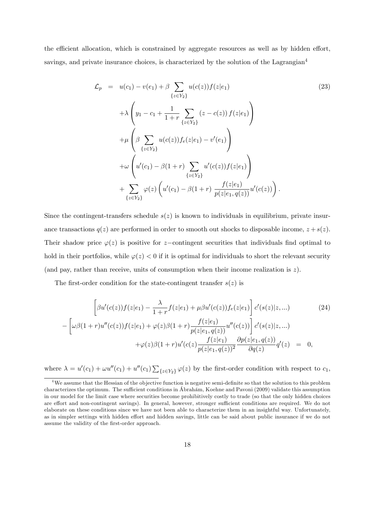the efficient allocation, which is constrained by aggregate resources as well as by hidden effort, savings, and private insurance choices, is characterized by the solution of the Lagrangian<sup>4</sup>

$$
\mathcal{L}_{p} = u(c_{1}) - v(e_{1}) + \beta \sum_{\{z \in Y_{2}\}} u(c(z))f(z|e_{1})
$$
\n
$$
+ \lambda \left(y_{1} - c_{1} + \frac{1}{1+r} \sum_{\{z \in Y_{2}\}} (z - c(z)) f(z|e_{1})\right)
$$
\n
$$
+ \mu \left(\beta \sum_{\{z \in Y_{2}\}} u(c(z))f_{e}(z|e_{1}) - v'(e_{1})\right)
$$
\n
$$
+ \omega \left(u'(c_{1}) - \beta(1+r) \sum_{\{z \in Y_{2}\}} u'(c(z))f(z|e_{1})\right)
$$
\n
$$
+ \sum_{\{z \in Y_{2}\}} \varphi(z) \left(u'(c_{1}) - \beta(1+r) \frac{f(z|e_{1})}{p(z|e_{1}, q(z))} u'(c(z))\right).
$$
\n(23)

Since the contingent-transfers schedule  $s(z)$  is known to individuals in equilibrium, private insurance transactions  $q(z)$  are performed in order to smooth out shocks to disposable income,  $z + s(z)$ . Their shadow price  $\varphi(z)$  is positive for z-contingent securities that individuals find optimal to hold in their portfolios, while  $\varphi(z) < 0$  if it is optimal for individuals to short the relevant security (and pay, rather than receive, units of consumption when their income realization is z).

The first-order condition for the state-contingent transfer  $s(z)$  is

$$
\left[\beta u'(c(z))f(z|e_1) - \frac{\lambda}{1+r}f(z|e_1) + \mu \beta u'(c(z))f_e(z|e_1)\right] c'(s(z)|z,...)
$$
\n
$$
-\left[\omega\beta(1+r)u''(c(z))f(z|e_1) + \varphi(z)\beta(1+r)\frac{f(z|e_1)}{p(z|e_1, q(z))}u''(c(z))\right] c'(s(z)|z,...)
$$
\n
$$
+\varphi(z)\beta(1+r)u'(c(z)\frac{f(z|e_1)}{p(z|e_1, q(z))^{2}}\frac{\partial p(z|e_1, q(z))}{\partial q(z)}q'(z) = 0,
$$
\n(24)

where  $\lambda = u'(c_1) + \omega u''(c_1) + u''(c_1) \sum_{\{z \in Y_2\}} \varphi(z)$  by the first-order condition with respect to  $c_1$ ,

 $4$ We assume that the Hessian of the objective function is negative semi-definite so that the solution to this problem characterizes the optimum. The sufficient conditions in Ábrahám, Koehne and Pavoni (2009) validate this assumption in our model for the limit case where securities become prohibitively costly to trade (so that the only hidden choices are effort and non-contingent savings). In general, however, stronger sufficient conditions are required. We do not elaborate on these conditions since we have not been able to characterize them in an insightful way. Unfortunately, as in simpler settings with hidden effort and hidden savings, little can be said about public insurance if we do not assume the validity of the first-order approach.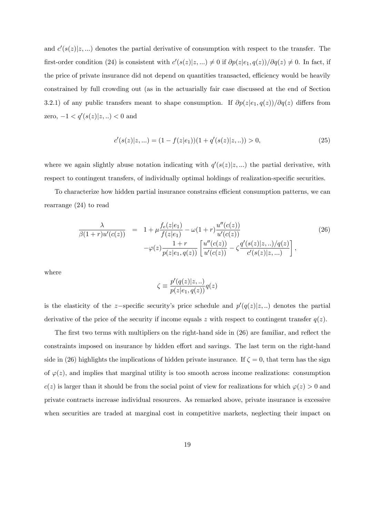and  $c'(s(z)|z,...)$  denotes the partial derivative of consumption with respect to the transfer. The first-order condition (24) is consistent with  $c'(s(z)|z,...) \neq 0$  if  $\partial p(z|e_1, q(z))/\partial q(z) \neq 0$ . In fact, if the price of private insurance did not depend on quantities transacted, efficiency would be heavily constrained by full crowding out (as in the actuarially fair case discussed at the end of Section 3.2.1) of any public transfers meant to shape consumption. If  $\partial p(z|e_1, q(z))/\partial q(z)$  differs from zero,  $-1 < q'(s(z)|z, ...) < 0$  and

$$
c'(s(z)|z,...) = (1 - f(z|e_1))(1 + q'(s(z)|z,..)) > 0,
$$
\n(25)

where we again slightly abuse notation indicating with  $q'(s(z)|z,...)$  the partial derivative, with respect to contingent transfers, of individually optimal holdings of realization-specific securities.

To characterize how hidden partial insurance constrains efficient consumption patterns, we can rearrange (24) to read

$$
\frac{\lambda}{\beta(1+r)u'(c(z))} = 1 + \mu \frac{f_e(z|e_1)}{f(z|e_1)} - \omega(1+r) \frac{u''(c(z))}{u'(c(z))} \n- \varphi(z) \frac{1+r}{p(z|e_1, q(z))} \left[ \frac{u''(c(z))}{u'(c(z))} - \zeta \frac{q'(s(z)|z, \ldots)/q(z)}{c'(s(z)|z, \ldots)} \right],
$$
\n(26)

where

$$
\zeta \equiv \frac{p'(q(z)|z,..)}{p(z|e_1,q(z))}q(z)
$$

is the elasticity of the z-specific security's price schedule and  $p'(q(z)|z, ...)$  denotes the partial derivative of the price of the security if income equals z with respect to contingent transfer  $q(z)$ .

The first two terms with multipliers on the right-hand side in  $(26)$  are familiar, and reflect the constraints imposed on insurance by hidden effort and savings. The last term on the right-hand side in (26) highlights the implications of hidden private insurance. If  $\zeta = 0$ , that term has the sign of  $\varphi(z)$ , and implies that marginal utility is too smooth across income realizations: consumption  $c(z)$  is larger than it should be from the social point of view for realizations for which  $\varphi(z) > 0$  and private contracts increase individual resources. As remarked above, private insurance is excessive when securities are traded at marginal cost in competitive markets, neglecting their impact on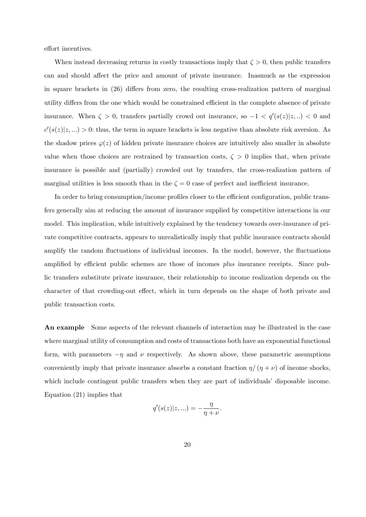effort incentives.

When instead decreasing returns in costly transactions imply that  $\zeta > 0$ , then public transfers can and should affect the price and amount of private insurance. Inasmuch as the expression in square brackets in  $(26)$  differs from zero, the resulting cross-realization pattern of marginal utility differs from the one which would be constrained efficient in the complete absence of private insurance. When  $\zeta > 0$ , transfers partially crowd out insurance, so  $-1 < q'(s(z)|z, ...) < 0$  and  $c'(s(z)|z,...) > 0$ : thus, the term in square brackets is less negative than absolute risk aversion. As the shadow prices  $\varphi(z)$  of hidden private insurance choices are intuitively also smaller in absolute value when those choices are restrained by transaction costs,  $\zeta > 0$  implies that, when private insurance is possible and (partially) crowded out by transfers, the cross-realization pattern of marginal utilities is less smooth than in the  $\zeta = 0$  case of perfect and inefficient insurance.

In order to bring consumption/income profiles closer to the efficient configuration, public transfers generally aim at reducing the amount of insurance supplied by competitive interactions in our model. This implication, while intuitively explained by the tendency towards over-insurance of private competitive contracts, appears to unrealistically imply that public insurance contracts should amplify the random fluctuations of individual incomes. In the model, however, the fluctuations amplified by efficient public schemes are those of incomes *plus* insurance receipts. Since public transfers substitute private insurance, their relationship to income realization depends on the character of that crowding-out effect, which in turn depends on the shape of both private and public transaction costs.

An example Some aspects of the relevant channels of interaction may be illustrated in the case where marginal utility of consumption and costs of transactions both have an exponential functional form, with parameters  $-\eta$  and  $\nu$  respectively. As shown above, these parametric assumptions conveniently imply that private insurance absorbs a constant fraction  $\eta/(\eta + \nu)$  of income shocks, which include contingent public transfers when they are part of individuals' disposable income. Equation (21) implies that

$$
q'(s(z)|z,...) = -\frac{\eta}{\eta + \nu}.
$$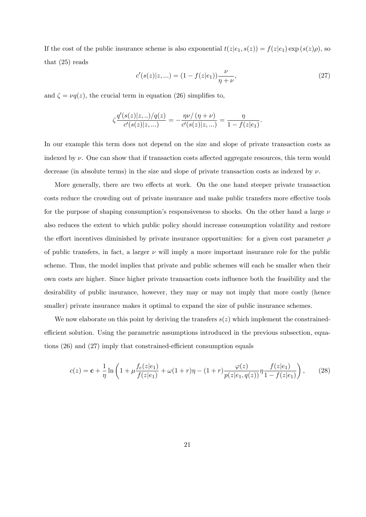If the cost of the public insurance scheme is also exponential  $t(z|e_1, s(z)) = f(z|e_1) \exp(s(z)\rho)$ , so that (25) reads

$$
c'(s(z)|z,...) = (1 - f(z|e_1))\frac{\nu}{\eta + \nu},\tag{27}
$$

and  $\zeta = \nu q(z)$ , the crucial term in equation (26) simplifies to,

$$
\zeta \frac{q'(s(z)|z,..)/q(z)}{c'(s(z)|z,...)} = -\frac{\eta \nu / (\eta + \nu)}{c'(s(z)|z,...)} = \frac{\eta}{1 - f(z|e_1)}.
$$

In our example this term does not depend on the size and slope of private transaction costs as indexed by  $\nu$ . One can show that if transaction costs affected aggregate resources, this term would decrease (in absolute terms) in the size and slope of private transaction costs as indexed by  $\nu$ .

More generally, there are two effects at work. On the one hand steeper private transaction costs reduce the crowding out of private insurance and make public transfers more effective tools for the purpose of shaping consumption's responsiveness to shocks. On the other hand a large  $\nu$ also reduces the extent to which public policy should increase consumption volatility and restore the effort incentives diminished by private insurance opportunities: for a given cost parameter  $\rho$ of public transfers, in fact, a larger  $\nu$  will imply a more important insurance role for the public scheme. Thus, the model implies that private and public schemes will each be smaller when their own costs are higher. Since higher private transaction costs ináuence both the feasibility and the desirability of public insurance, however, they may or may not imply that more costly (hence smaller) private insurance makes it optimal to expand the size of public insurance schemes.

We now elaborate on this point by deriving the transfers  $s(z)$  which implement the constrainedefficient solution. Using the parametric assumptions introduced in the previous subsection, equations  $(26)$  and  $(27)$  imply that constrained-efficient consumption equals

$$
c(z) = \mathbf{c} + \frac{1}{\eta} \ln \left( 1 + \mu \frac{f_e(z|e_1)}{f(z|e_1)} + \omega(1+r)\eta - (1+r) \frac{\varphi(z)}{p(z|e_1, q(z))} \eta \frac{f(z|e_1)}{1 - f(z|e_1)} \right), \tag{28}
$$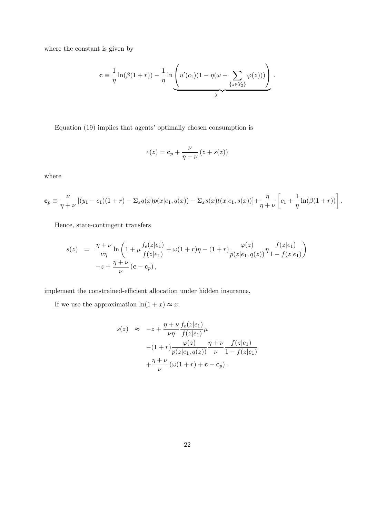where the constant is given by

$$
\mathbf{c} \equiv \frac{1}{\eta} \ln(\beta(1+r)) - \frac{1}{\eta} \ln \underbrace{\left(u'(c_1)(1-\eta(\omega+\sum_{\{z\in Y_2\}} \varphi(z)))\right)}_{\lambda}.
$$

Equation  $(19)$  implies that agents' optimally chosen consumption is

$$
c(z) = \mathbf{c}_p + \frac{\nu}{\eta + \nu} (z + s(z))
$$

where

$$
\mathbf{c}_p \equiv \frac{\nu}{\eta + \nu} \left[ (y_1 - c_1)(1 + r) - \Sigma_x q(x) p(x|e_1, q(x)) - \Sigma_x s(x) t(x|e_1, s(x)) \right] + \frac{\eta}{\eta + \nu} \left[ c_1 + \frac{1}{\eta} \ln(\beta(1+r)) \right].
$$

Hence, state-contingent transfers

$$
s(z) = \frac{\eta + \nu}{\nu \eta} \ln \left( 1 + \mu \frac{f_e(z|e_1)}{f(z|e_1)} + \omega(1+r)\eta - (1+r) \frac{\varphi(z)}{p(z|e_1, q(z))} \eta \frac{f(z|e_1)}{1 - f(z|e_1)} \right) -z + \frac{\eta + \nu}{\nu} (\mathbf{c} - \mathbf{c}_p),
$$

implement the constrained-efficient allocation under hidden insurance.

If we use the approximation  $\ln(1+x) \approx x$ ,

$$
s(z) \approx -z + \frac{\eta + \nu}{\nu \eta} \frac{f_e(z|e_1)}{f(z|e_1)} \mu
$$
  
 
$$
-(1+r) \frac{\varphi(z)}{p(z|e_1, q(z))} \frac{\eta + \nu}{\nu} \frac{f(z|e_1)}{1 - f(z|e_1)}
$$
  
 
$$
+ \frac{\eta + \nu}{\nu} (\omega(1+r) + \mathbf{c} - \mathbf{c}_p).
$$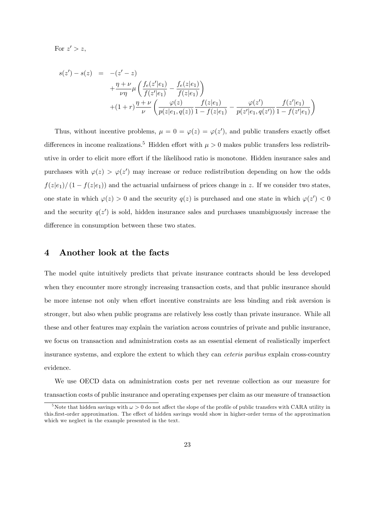For  $z' > z$ ,

$$
s(z') - s(z) = -(z' - z)
$$
  
+  $\frac{\eta + \nu}{\nu \eta} \mu \left( \frac{f_e(z'|e_1)}{f(z'|e_1)} - \frac{f_e(z|e_1)}{f(z|e_1)} \right)$   
+  $(1+r)\frac{\eta + \nu}{\nu} \left( \frac{\varphi(z)}{p(z|e_1, q(z))} \frac{f(z|e_1)}{1 - f(z|e_1)} - \frac{\varphi(z')}{p(z'|e_1, q(z'))} \frac{f(z'|e_1)}{1 - f(z'|e_1)} \right)$ 

Thus, without incentive problems,  $\mu = 0 = \varphi(z) = \varphi(z')$ , and public transfers exactly offset differences in income realizations.<sup>5</sup> Hidden effort with  $\mu > 0$  makes public transfers less redistributive in order to elicit more effort if the likelihood ratio is monotone. Hidden insurance sales and purchases with  $\varphi(z) > \varphi(z')$  may increase or reduce redistribution depending on how the odds  $f(z|e_1)/(1 - f(z|e_1))$  and the actuarial unfairness of prices change in z. If we consider two states, one state in which  $\varphi(z) > 0$  and the security  $q(z)$  is purchased and one state in which  $\varphi(z') < 0$ and the security  $q(z')$  is sold, hidden insurance sales and purchases unambiguously increase the difference in consumption between these two states.

## 4 Another look at the facts

The model quite intuitively predicts that private insurance contracts should be less developed when they encounter more strongly increasing transaction costs, and that public insurance should be more intense not only when effort incentive constraints are less binding and risk aversion is stronger, but also when public programs are relatively less costly than private insurance. While all these and other features may explain the variation across countries of private and public insurance, we focus on transaction and administration costs as an essential element of realistically imperfect insurance systems, and explore the extent to which they can ceteris paribus explain cross-country evidence.

We use OECD data on administration costs per net revenue collection as our measure for transaction costs of public insurance and operating expenses per claim as our measure of transaction

<sup>&</sup>lt;sup>5</sup>Note that hidden savings with  $\omega > 0$  do not affect the slope of the profile of public transfers with CARA utility in this.first-order approximation. The effect of hidden savings would show in higher-order terms of the approximation which we neglect in the example presented in the text.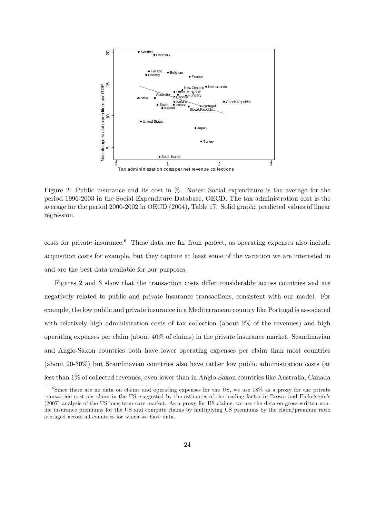

Figure 2: Public insurance and its cost in %. Notes: Social expenditure is the average for the period 1996-2003 in the Social Expenditure Database, OECD. The tax administration cost is the average for the period 2000-2002 in OECD (2004), Table 17. Solid graph: predicted values of linear regression.

 $\cos$ ts for private insurance.<sup>6</sup> These data are far from perfect, as operating expenses also include acquisition costs for example, but they capture at least some of the variation we are interested in and are the best data available for our purposes.

Figures 2 and 3 show that the transaction costs differ considerably across countries and are negatively related to public and private insurance transactions, consistent with our model. For example, the low public and private insurance in a Mediterranean country like Portugal is associated with relatively high administration costs of tax collection (about 2\% of the revenues) and high operating expenses per claim (about 40% of claims) in the private insurance market. Scandinavian and Anglo-Saxon countries both have lower operating expenses per claim than most countries (about 20-30%) but Scandinavian countries also have rather low public administration costs (at less than 1% of collected revenues, even lower than in Anglo-Saxon countries like Australia, Canada

<sup>&</sup>lt;sup>6</sup>Since there are no data on claims and operating expenses for the US, we use 18% as a proxy for the private transaction cost per claim in the US, suggested by the estimates of the loading factor in Brown and Finkelstein's (2007) analysis of the US long-term care market. As a proxy for US claims, we use the data on gross-written nonlife insurance premiums for the US and compute claims by multiplying US premiums by the claim/premium ratio averaged across all countries for which we have data.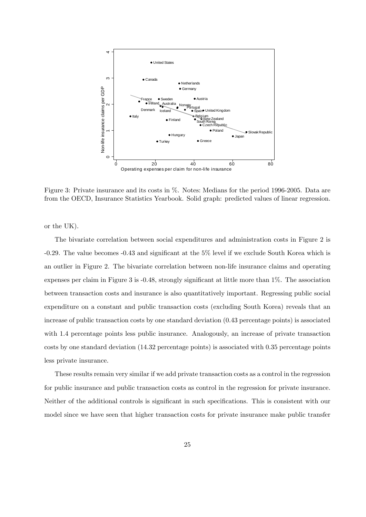

Figure 3: Private insurance and its costs in %. Notes: Medians for the period 1996-2005. Data are from the OECD, Insurance Statistics Yearbook. Solid graph: predicted values of linear regression.

or the UK).

The bivariate correlation between social expenditures and administration costs in Figure 2 is -0.29. The value becomes -0.43 and significant at the 5% level if we exclude South Korea which is an outlier in Figure 2. The bivariate correlation between non-life insurance claims and operating expenses per claim in Figure 3 is  $-0.48$ , strongly significant at little more than  $1\%$ . The association between transaction costs and insurance is also quantitatively important. Regressing public social expenditure on a constant and public transaction costs (excluding South Korea) reveals that an increase of public transaction costs by one standard deviation (0.43 percentage points) is associated with 1.4 percentage points less public insurance. Analogously, an increase of private transaction costs by one standard deviation (14.32 percentage points) is associated with 0.35 percentage points less private insurance.

These results remain very similar if we add private transaction costs as a control in the regression for public insurance and public transaction costs as control in the regression for private insurance. Neither of the additional controls is significant in such specifications. This is consistent with our model since we have seen that higher transaction costs for private insurance make public transfer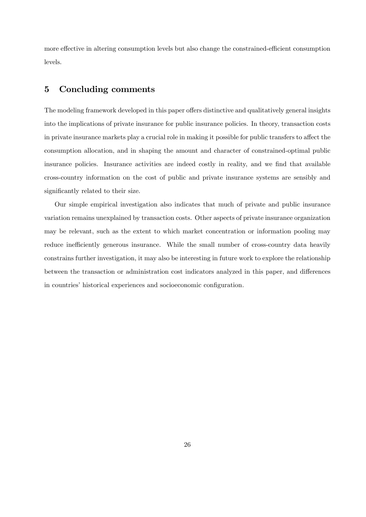more effective in altering consumption levels but also change the constrained-efficient consumption levels.

## 5 Concluding comments

The modeling framework developed in this paper offers distinctive and qualitatively general insights into the implications of private insurance for public insurance policies. In theory, transaction costs in private insurance markets play a crucial role in making it possible for public transfers to affect the consumption allocation, and in shaping the amount and character of constrained-optimal public insurance policies. Insurance activities are indeed costly in reality, and we find that available cross-country information on the cost of public and private insurance systems are sensibly and significantly related to their size.

Our simple empirical investigation also indicates that much of private and public insurance variation remains unexplained by transaction costs. Other aspects of private insurance organization may be relevant, such as the extent to which market concentration or information pooling may reduce inefficiently generous insurance. While the small number of cross-country data heavily constrains further investigation, it may also be interesting in future work to explore the relationship between the transaction or administration cost indicators analyzed in this paper, and differences in countries' historical experiences and socioeconomic configuration.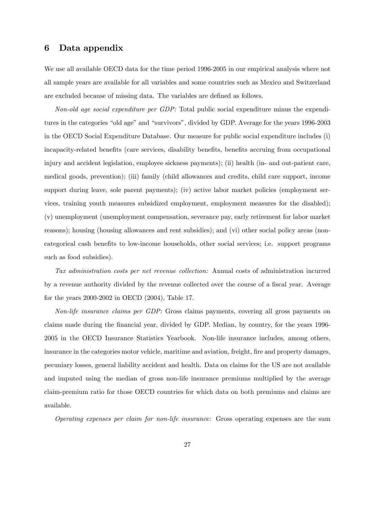## 6 Data appendix

We use all available OECD data for the time period 1996-2005 in our empirical analysis where not all sample years are available for all variables and some countries such as Mexico and Switzerland are excluded because of missing data. The variables are defined as follows.

Non-old age social expenditure per GDP: Total public social expenditure minus the expenditures in the categories "old age" and "survivors", divided by GDP. Average for the years 1996-2003 in the OECD Social Expenditure Database. Our measure for public social expenditure includes (i) incapacity-related benefits (care services, disability benefits, benefits accruing from occupational injury and accident legislation, employee sickness payments); (ii) health (in- and out-patient care, medical goods, prevention); (iii) family (child allowances and credits, child care support, income support during leave, sole parent payments); (iv) active labor market policies (employment services, training youth measures subsidized employment, employment measures for the disabled); (v) unemployment (unemployment compensation, severance pay, early retirement for labor market reasons); housing (housing allowances and rent subsidies); and (vi) other social policy areas (noncategorical cash benefits to low-income households, other social services; i.e. support programs such as food subsidies).

Tax administration costs per net revenue collection: Annual costs of administration incurred by a revenue authority divided by the revenue collected over the course of a fiscal year. Average for the years 2000-2002 in OECD (2004), Table 17.

Non-life insurance claims per GDP: Gross claims payments, covering all gross payments on claims made during the Önancial year, divided by GDP. Median, by country, for the years 1996- 2005 in the OECD Insurance Statistics Yearbook. Non-life insurance includes, among others, insurance in the categories motor vehicle, maritime and aviation, freight, fire and property damages, pecuniary losses, general liability accident and health. Data on claims for the US are not available and imputed using the median of gross non-life insurance premiums multiplied by the average claim-premium ratio for those OECD countries for which data on both premiums and claims are available.

Operating expenses per claim for non-life insurance: Gross operating expenses are the sum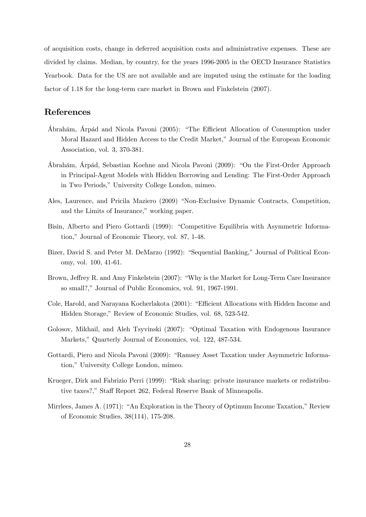of acquisition costs, change in deferred acquisition costs and administrative expenses. These are divided by claims. Median, by country, for the years 1996-2005 in the OECD Insurance Statistics Yearbook. Data for the US are not available and are imputed using the estimate for the loading factor of 1.18 for the long-term care market in Brown and Finkelstein (2007).

## References

- Ábrahám, Árpád and Nicola Pavoni (2005): "The Efficient Allocation of Consumption under Moral Hazard and Hidden Access to the Credit Market," Journal of the European Economic Association, vol. 3, 370-381.
- £brah·m, £rp·d, Sebastian Koehne and Nicola Pavoni (2009): ìOn the First-Order Approach in Principal-Agent Models with Hidden Borrowing and Lending: The First-Order Approach in Two Periods," University College London, mimeo.
- Ales, Laurence, and Pricila Maziero (2009) "Non-Exclusive Dynamic Contracts, Competition, and the Limits of Insurance," working paper.
- Bisin, Alberto and Piero Gottardi (1999): "Competitive Equilibria with Asymmetric Information," Journal of Economic Theory, vol. 87, 1-48.
- Bizer, David S. and Peter M. DeMarzo (1992): "Sequential Banking," Journal of Political Economy, vol. 100, 41-61.
- Brown, Jeffrey R. and Amy Finkelstein (2007): "Why is the Market for Long-Term Care Insurance so small?," Journal of Public Economics, vol. 91, 1967-1991.
- Cole, Harold, and Narayana Kocherlakota (2001): "Efficient Allocations with Hidden Income and Hidden Storage," Review of Economic Studies, vol. 68, 523-542.
- Golosov, Mikhail, and Aleh Tsyvinski (2007): "Optimal Taxation with Endogenous Insurance Markets," Quarterly Journal of Economics, vol. 122, 487-534.
- Gottardi, Piero and Nicola Pavoni (2009): "Ramsey Asset Taxation under Asymmetric Information," University College London, mimeo.
- Krueger, Dirk and Fabrizio Perri (1999): "Risk sharing: private insurance markets or redistributive taxes?," Staff Report 262, Federal Reserve Bank of Minneapolis.
- Mirrlees, James A. (1971): "An Exploration in the Theory of Optimum Income Taxation," Review of Economic Studies, 38(114), 175-208.